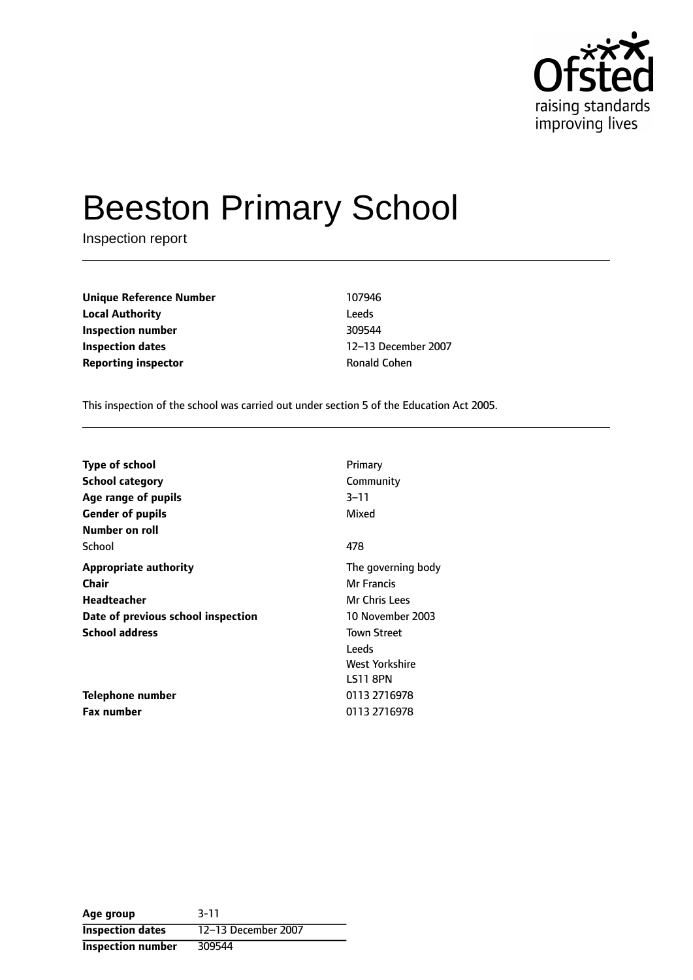

# Beeston Primary School

Inspection report

**Unique Reference Number** 107946 **Local Authority** Leeds **Inspection number** 309544 **Inspection dates** 12-13 December 2007 **Reporting inspector Community Ronald Cohen** 

This inspection of the school was carried out under section 5 of the Education Act 2005.

| <b>Type of school</b>              | Primary            |
|------------------------------------|--------------------|
| School category                    | Community          |
| Age range of pupils                | $3 - 11$           |
| <b>Gender of pupils</b>            | Mixed              |
| Number on roll                     |                    |
| School                             | 478                |
| <b>Appropriate authority</b>       | The governing body |
| Chair                              | Mr Francis         |
| Headteacher                        | Mr Chris Lees      |
| Date of previous school inspection | 10 November 2003   |
| <b>School address</b>              | <b>Town Street</b> |
|                                    | Leeds              |
|                                    | West Yorkshire     |
|                                    | LS11 8PN           |
| Telephone number                   | 0113 2716978       |
| <b>Fax number</b>                  | 0113 2716978       |

| Age group                | $3 - 11$            |
|--------------------------|---------------------|
| <b>Inspection dates</b>  | 12-13 December 2007 |
| <b>Inspection number</b> | 309544              |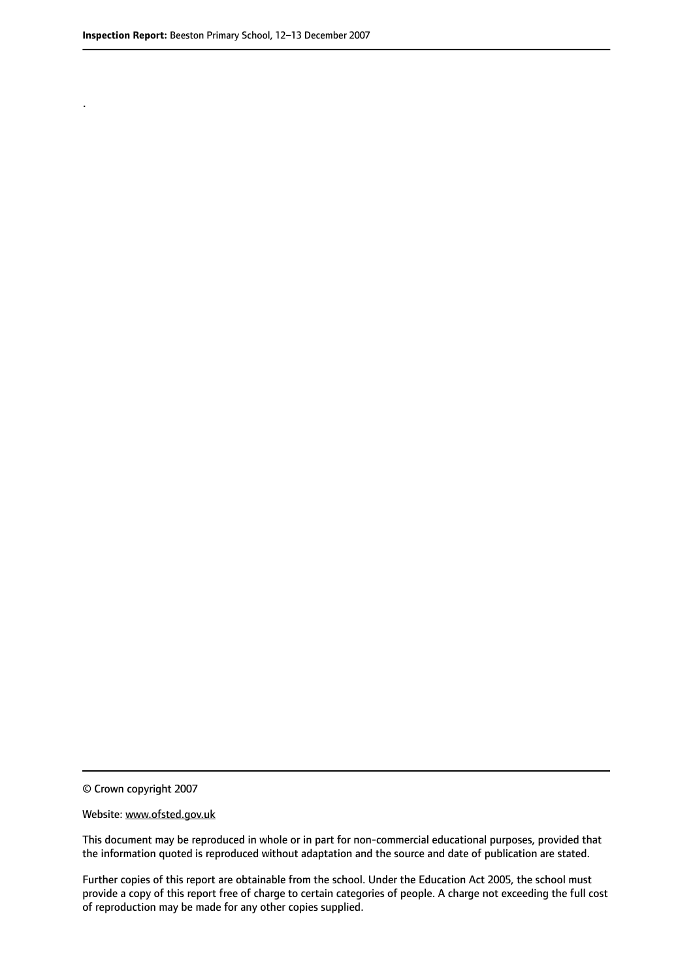.

© Crown copyright 2007

#### Website: www.ofsted.gov.uk

This document may be reproduced in whole or in part for non-commercial educational purposes, provided that the information quoted is reproduced without adaptation and the source and date of publication are stated.

Further copies of this report are obtainable from the school. Under the Education Act 2005, the school must provide a copy of this report free of charge to certain categories of people. A charge not exceeding the full cost of reproduction may be made for any other copies supplied.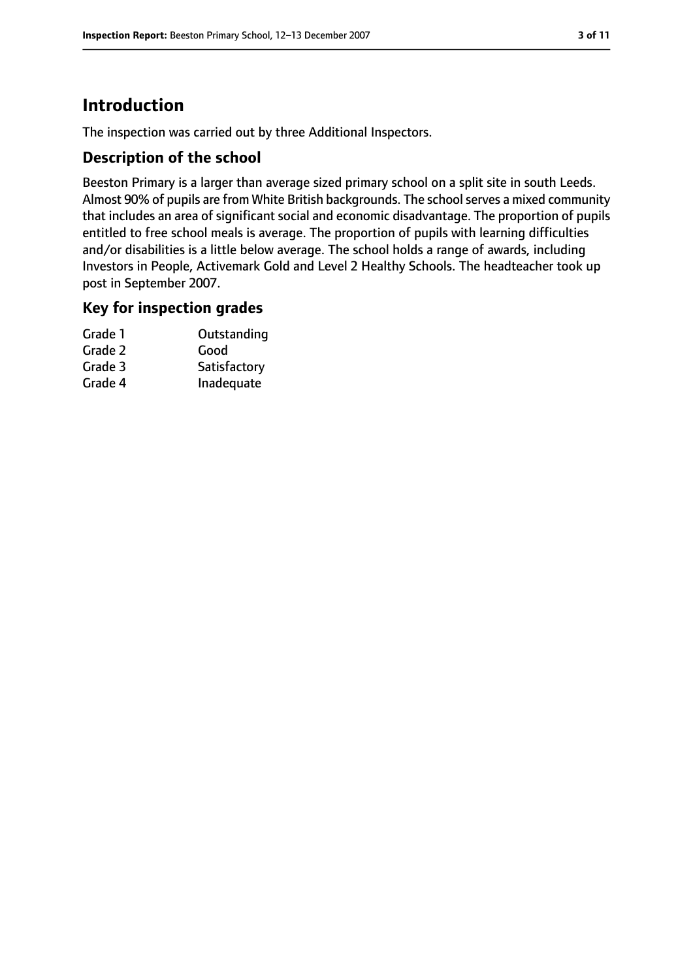# **Introduction**

The inspection was carried out by three Additional Inspectors.

#### **Description of the school**

Beeston Primary is a larger than average sized primary school on a split site in south Leeds. Almost 90% of pupils are from White British backgrounds. The school serves a mixed community that includes an area of significant social and economic disadvantage. The proportion of pupils entitled to free school meals is average. The proportion of pupils with learning difficulties and/or disabilities is a little below average. The school holds a range of awards, including Investors in People, Activemark Gold and Level 2 Healthy Schools. The headteacher took up post in September 2007.

#### **Key for inspection grades**

| Grade 1 | Outstanding  |
|---------|--------------|
| Grade 2 | Good         |
| Grade 3 | Satisfactory |
| Grade 4 | Inadequate   |
|         |              |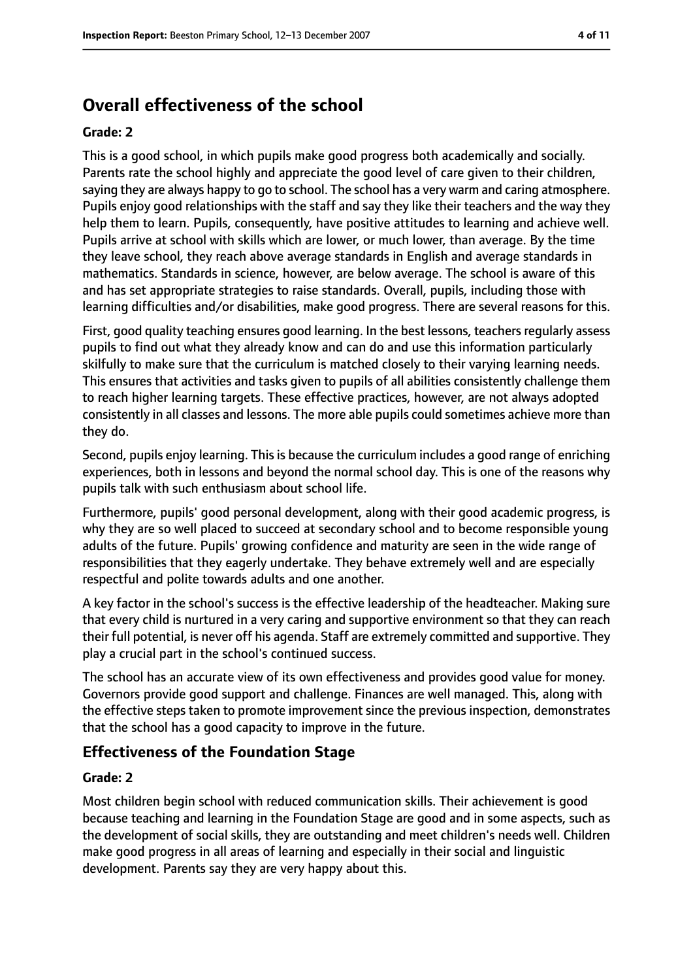# **Overall effectiveness of the school**

#### **Grade: 2**

This is a good school, in which pupils make good progress both academically and socially. Parents rate the school highly and appreciate the good level of care given to their children, saying they are always happy to go to school. The school has a very warm and caring atmosphere. Pupils enjoy good relationships with the staff and say they like their teachers and the way they help them to learn. Pupils, consequently, have positive attitudes to learning and achieve well. Pupils arrive at school with skills which are lower, or much lower, than average. By the time they leave school, they reach above average standards in English and average standards in mathematics. Standards in science, however, are below average. The school is aware of this and has set appropriate strategies to raise standards. Overall, pupils, including those with learning difficulties and/or disabilities, make good progress. There are several reasons for this.

First, good quality teaching ensures good learning. In the best lessons, teachers regularly assess pupils to find out what they already know and can do and use this information particularly skilfully to make sure that the curriculum is matched closely to their varying learning needs. This ensures that activities and tasks given to pupils of all abilities consistently challenge them to reach higher learning targets. These effective practices, however, are not always adopted consistently in all classes and lessons. The more able pupils could sometimes achieve more than they do.

Second, pupils enjoy learning. This is because the curriculum includes a good range of enriching experiences, both in lessons and beyond the normal school day. This is one of the reasons why pupils talk with such enthusiasm about school life.

Furthermore, pupils' good personal development, along with their good academic progress, is why they are so well placed to succeed at secondary school and to become responsible young adults of the future. Pupils' growing confidence and maturity are seen in the wide range of responsibilities that they eagerly undertake. They behave extremely well and are especially respectful and polite towards adults and one another.

A key factor in the school's success is the effective leadership of the headteacher. Making sure that every child is nurtured in a very caring and supportive environment so that they can reach their full potential, is never off his agenda. Staff are extremely committed and supportive. They play a crucial part in the school's continued success.

The school has an accurate view of its own effectiveness and provides good value for money. Governors provide good support and challenge. Finances are well managed. This, along with the effective steps taken to promote improvement since the previous inspection, demonstrates that the school has a good capacity to improve in the future.

#### **Effectiveness of the Foundation Stage**

#### **Grade: 2**

Most children begin school with reduced communication skills. Their achievement is good because teaching and learning in the Foundation Stage are good and in some aspects, such as the development of social skills, they are outstanding and meet children's needs well. Children make good progress in all areas of learning and especially in their social and linguistic development. Parents say they are very happy about this.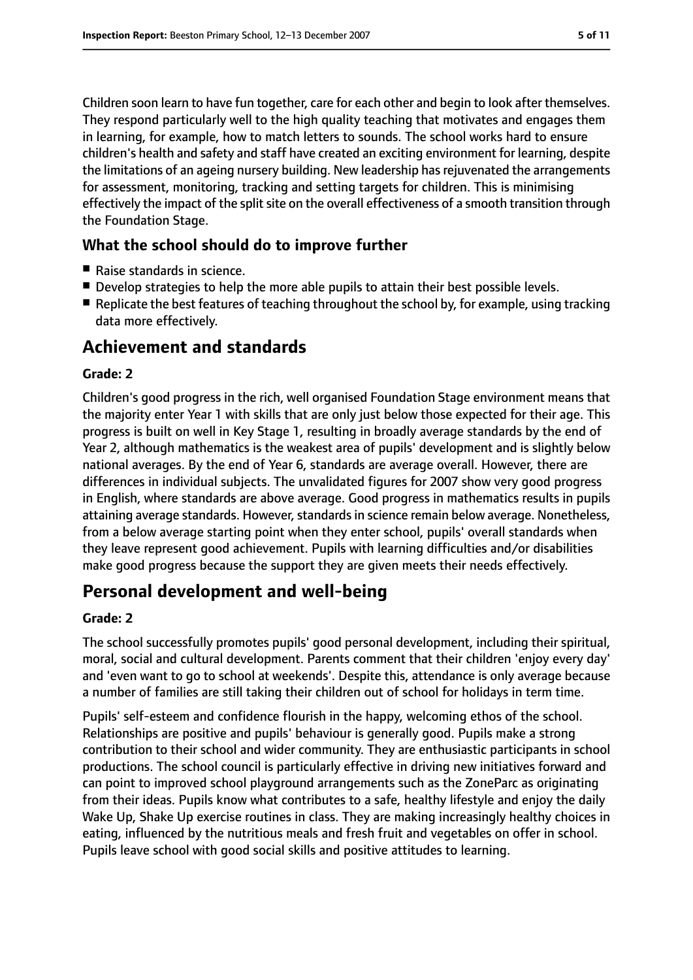Children soon learn to have fun together, care for each other and begin to look after themselves. They respond particularly well to the high quality teaching that motivates and engages them in learning, for example, how to match letters to sounds. The school works hard to ensure children's health and safety and staff have created an exciting environment for learning, despite the limitations of an ageing nursery building. New leadership hasrejuvenated the arrangements for assessment, monitoring, tracking and setting targets for children. This is minimising effectively the impact of the split site on the overall effectiveness of a smooth transition through the Foundation Stage.

### **What the school should do to improve further**

- Raise standards in science.
- Develop strategies to help the more able pupils to attain their best possible levels.
- Replicate the best features of teaching throughout the school by, for example, using tracking data more effectively.

# **Achievement and standards**

#### **Grade: 2**

Children's good progress in the rich, well organised Foundation Stage environment means that the majority enter Year 1 with skills that are only just below those expected for their age. This progress is built on well in Key Stage 1, resulting in broadly average standards by the end of Year 2, although mathematics is the weakest area of pupils' development and is slightly below national averages. By the end of Year 6, standards are average overall. However, there are differences in individual subjects. The unvalidated figures for 2007 show very good progress in English, where standards are above average. Good progress in mathematics results in pupils attaining average standards. However, standards in science remain below average. Nonetheless, from a below average starting point when they enter school, pupils' overall standards when they leave represent good achievement. Pupils with learning difficulties and/or disabilities make good progress because the support they are given meets their needs effectively.

# **Personal development and well-being**

#### **Grade: 2**

The school successfully promotes pupils' good personal development, including their spiritual, moral, social and cultural development. Parents comment that their children 'enjoy every day' and 'even want to go to school at weekends'. Despite this, attendance is only average because a number of families are still taking their children out of school for holidays in term time.

Pupils' self-esteem and confidence flourish in the happy, welcoming ethos of the school. Relationships are positive and pupils' behaviour is generally good. Pupils make a strong contribution to their school and wider community. They are enthusiastic participants in school productions. The school council is particularly effective in driving new initiatives forward and can point to improved school playground arrangements such as the ZoneParc as originating from their ideas. Pupils know what contributes to a safe, healthy lifestyle and enjoy the daily Wake Up, Shake Up exercise routines in class. They are making increasingly healthy choices in eating, influenced by the nutritious meals and fresh fruit and vegetables on offer in school. Pupils leave school with good social skills and positive attitudes to learning.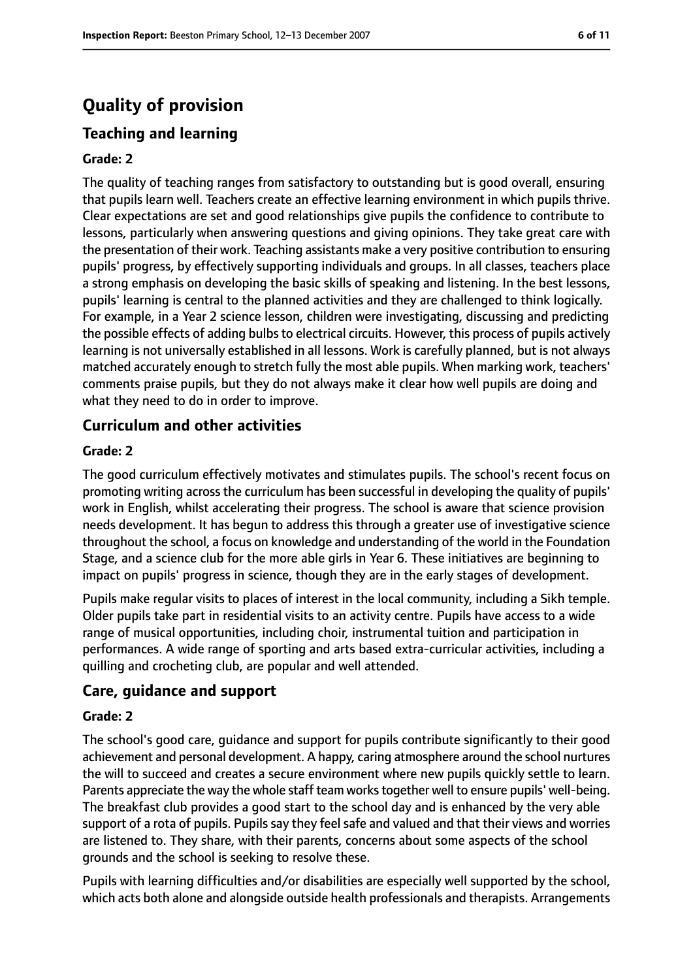# **Quality of provision**

# **Teaching and learning**

#### **Grade: 2**

The quality of teaching ranges from satisfactory to outstanding but is good overall, ensuring that pupils learn well. Teachers create an effective learning environment in which pupils thrive. Clear expectations are set and good relationships give pupils the confidence to contribute to lessons, particularly when answering questions and giving opinions. They take great care with the presentation of their work. Teaching assistants make a very positive contribution to ensuring pupils' progress, by effectively supporting individuals and groups. In all classes, teachers place a strong emphasis on developing the basic skills of speaking and listening. In the best lessons, pupils' learning is central to the planned activities and they are challenged to think logically. For example, in a Year 2 science lesson, children were investigating, discussing and predicting the possible effects of adding bulbs to electrical circuits. However, this process of pupils actively learning is not universally established in all lessons. Work is carefully planned, but is not always matched accurately enough to stretch fully the most able pupils. When marking work, teachers' comments praise pupils, but they do not always make it clear how well pupils are doing and what they need to do in order to improve.

#### **Curriculum and other activities**

#### **Grade: 2**

The good curriculum effectively motivates and stimulates pupils. The school's recent focus on promoting writing across the curriculum has been successful in developing the quality of pupils' work in English, whilst accelerating their progress. The school is aware that science provision needs development. It has begun to address this through a greater use of investigative science throughout the school, a focus on knowledge and understanding of the world in the Foundation Stage, and a science club for the more able girls in Year 6. These initiatives are beginning to impact on pupils' progress in science, though they are in the early stages of development.

Pupils make regular visits to places of interest in the local community, including a Sikh temple. Older pupils take part in residential visits to an activity centre. Pupils have access to a wide range of musical opportunities, including choir, instrumental tuition and participation in performances. A wide range of sporting and arts based extra-curricular activities, including a quilling and crocheting club, are popular and well attended.

#### **Care, guidance and support**

#### **Grade: 2**

The school's good care, guidance and support for pupils contribute significantly to their good achievement and personal development. A happy, caring atmosphere around the school nurtures the will to succeed and creates a secure environment where new pupils quickly settle to learn. Parents appreciate the way the whole staff team works together well to ensure pupils' well-being. The breakfast club provides a good start to the school day and is enhanced by the very able support of a rota of pupils. Pupils say they feel safe and valued and that their views and worries are listened to. They share, with their parents, concerns about some aspects of the school grounds and the school is seeking to resolve these.

Pupils with learning difficulties and/or disabilities are especially well supported by the school, which acts both alone and alongside outside health professionals and therapists. Arrangements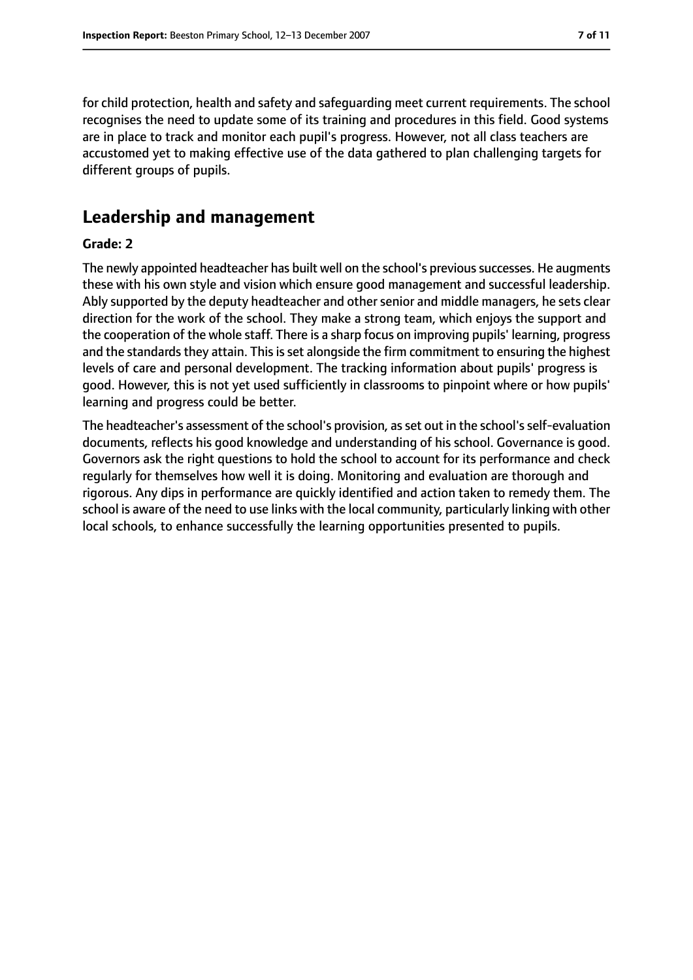for child protection, health and safety and safeguarding meet current requirements. The school recognises the need to update some of its training and procedures in this field. Good systems are in place to track and monitor each pupil's progress. However, not all class teachers are accustomed yet to making effective use of the data gathered to plan challenging targets for different groups of pupils.

# **Leadership and management**

#### **Grade: 2**

The newly appointed headteacher has built well on the school's previous successes. He augments these with his own style and vision which ensure good management and successful leadership. Ably supported by the deputy headteacher and other senior and middle managers, he sets clear direction for the work of the school. They make a strong team, which enjoys the support and the cooperation of the whole staff. There is a sharp focus on improving pupils' learning, progress and the standards they attain. This is set alongside the firm commitment to ensuring the highest levels of care and personal development. The tracking information about pupils' progress is good. However, this is not yet used sufficiently in classrooms to pinpoint where or how pupils' learning and progress could be better.

The headteacher's assessment of the school's provision, as set out in the school's self-evaluation documents, reflects his good knowledge and understanding of his school. Governance is good. Governors ask the right questions to hold the school to account for its performance and check regularly for themselves how well it is doing. Monitoring and evaluation are thorough and rigorous. Any dips in performance are quickly identified and action taken to remedy them. The school is aware of the need to use links with the local community, particularly linking with other local schools, to enhance successfully the learning opportunities presented to pupils.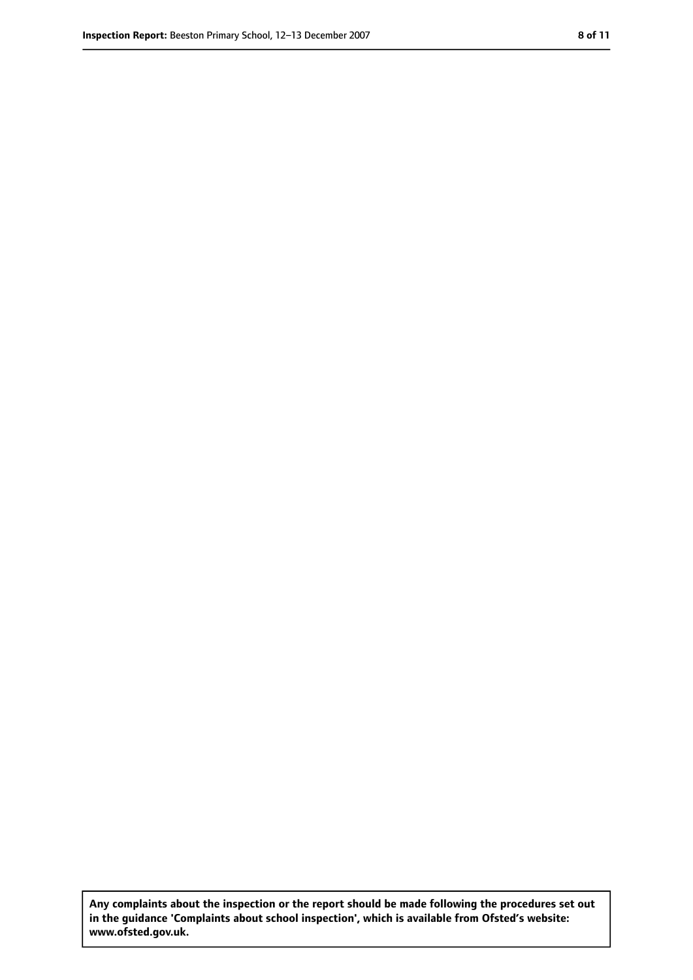**Any complaints about the inspection or the report should be made following the procedures set out in the guidance 'Complaints about school inspection', which is available from Ofsted's website: www.ofsted.gov.uk.**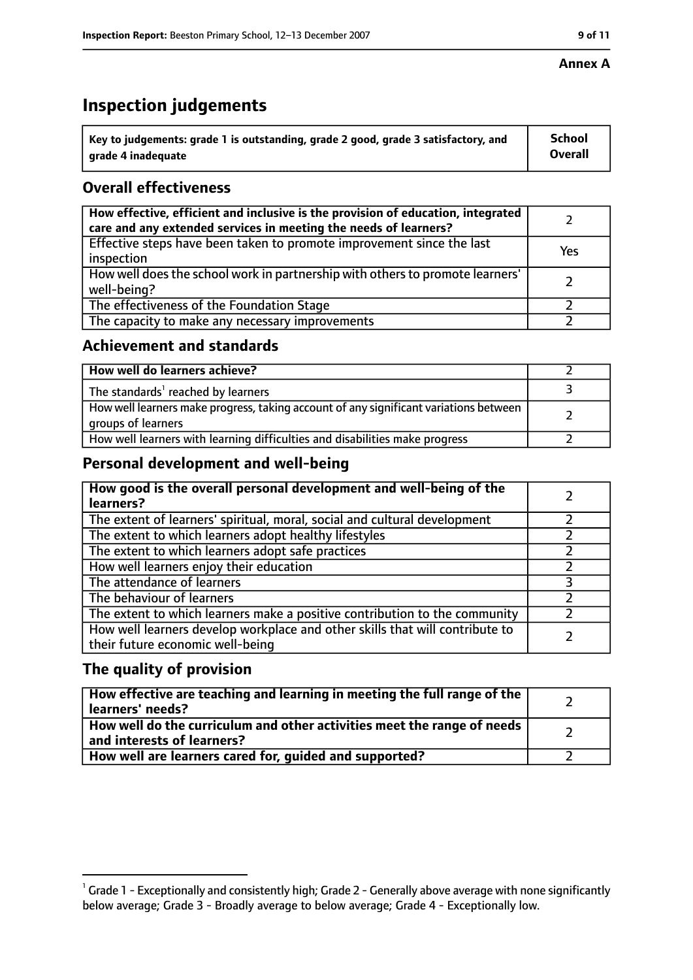#### **Annex A**

# **Inspection judgements**

| $^{\backprime}$ Key to judgements: grade 1 is outstanding, grade 2 good, grade 3 satisfactory, and | <b>School</b>  |
|----------------------------------------------------------------------------------------------------|----------------|
| arade 4 inadequate                                                                                 | <b>Overall</b> |

# **Overall effectiveness**

| How effective, efficient and inclusive is the provision of education, integrated<br>care and any extended services in meeting the needs of learners? |     |
|------------------------------------------------------------------------------------------------------------------------------------------------------|-----|
| Effective steps have been taken to promote improvement since the last<br>inspection                                                                  | Yes |
| How well does the school work in partnership with others to promote learners'<br>well-being?                                                         |     |
| The effectiveness of the Foundation Stage                                                                                                            |     |
| The capacity to make any necessary improvements                                                                                                      |     |

#### **Achievement and standards**

| How well do learners achieve?                                                                               |  |
|-------------------------------------------------------------------------------------------------------------|--|
| The standards <sup>1</sup> reached by learners                                                              |  |
| How well learners make progress, taking account of any significant variations between<br>groups of learners |  |
| How well learners with learning difficulties and disabilities make progress                                 |  |

### **Personal development and well-being**

| How good is the overall personal development and well-being of the<br>learners?                                  |  |
|------------------------------------------------------------------------------------------------------------------|--|
| The extent of learners' spiritual, moral, social and cultural development                                        |  |
| The extent to which learners adopt healthy lifestyles                                                            |  |
| The extent to which learners adopt safe practices                                                                |  |
| How well learners enjoy their education                                                                          |  |
| The attendance of learners                                                                                       |  |
| The behaviour of learners                                                                                        |  |
| The extent to which learners make a positive contribution to the community                                       |  |
| How well learners develop workplace and other skills that will contribute to<br>their future economic well-being |  |

### **The quality of provision**

| How effective are teaching and learning in meeting the full range of the<br>learners' needs?          |  |
|-------------------------------------------------------------------------------------------------------|--|
| How well do the curriculum and other activities meet the range of needs<br>and interests of learners? |  |
| How well are learners cared for, guided and supported?                                                |  |

 $^1$  Grade 1 - Exceptionally and consistently high; Grade 2 - Generally above average with none significantly below average; Grade 3 - Broadly average to below average; Grade 4 - Exceptionally low.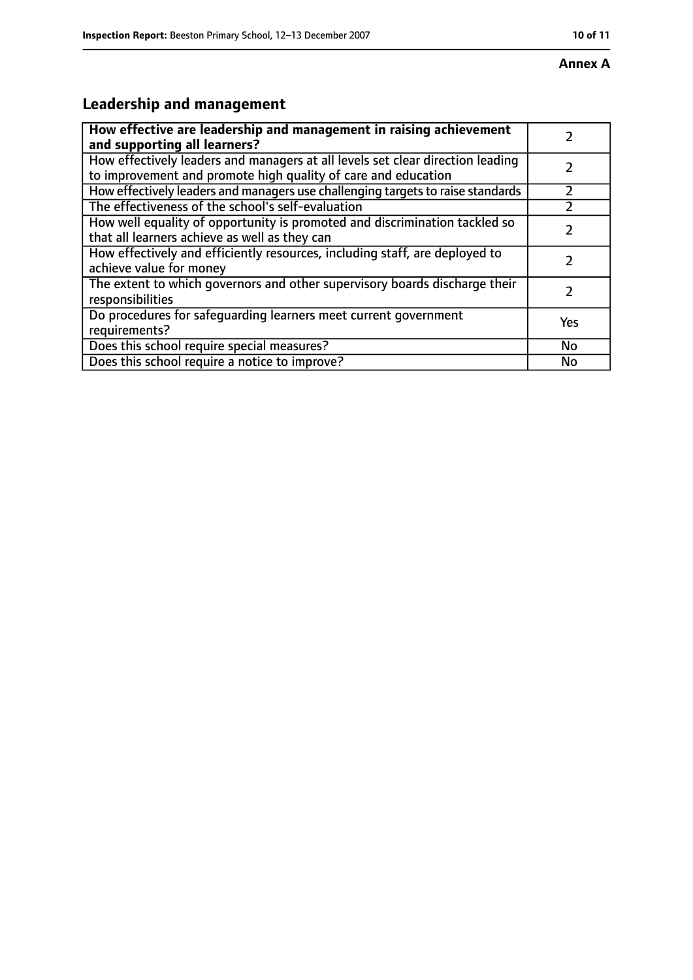# **Leadership and management**

| How effective are leadership and management in raising achievement              |     |
|---------------------------------------------------------------------------------|-----|
| and supporting all learners?                                                    |     |
| How effectively leaders and managers at all levels set clear direction leading  |     |
| to improvement and promote high quality of care and education                   |     |
| How effectively leaders and managers use challenging targets to raise standards |     |
| The effectiveness of the school's self-evaluation                               |     |
| How well equality of opportunity is promoted and discrimination tackled so      |     |
| that all learners achieve as well as they can                                   |     |
| How effectively and efficiently resources, including staff, are deployed to     | 7   |
| achieve value for money                                                         |     |
| The extent to which governors and other supervisory boards discharge their      |     |
| responsibilities                                                                |     |
| Do procedures for safequarding learners meet current government                 | Yes |
| requirements?                                                                   |     |
| Does this school require special measures?                                      | No  |
| Does this school require a notice to improve?                                   | No  |